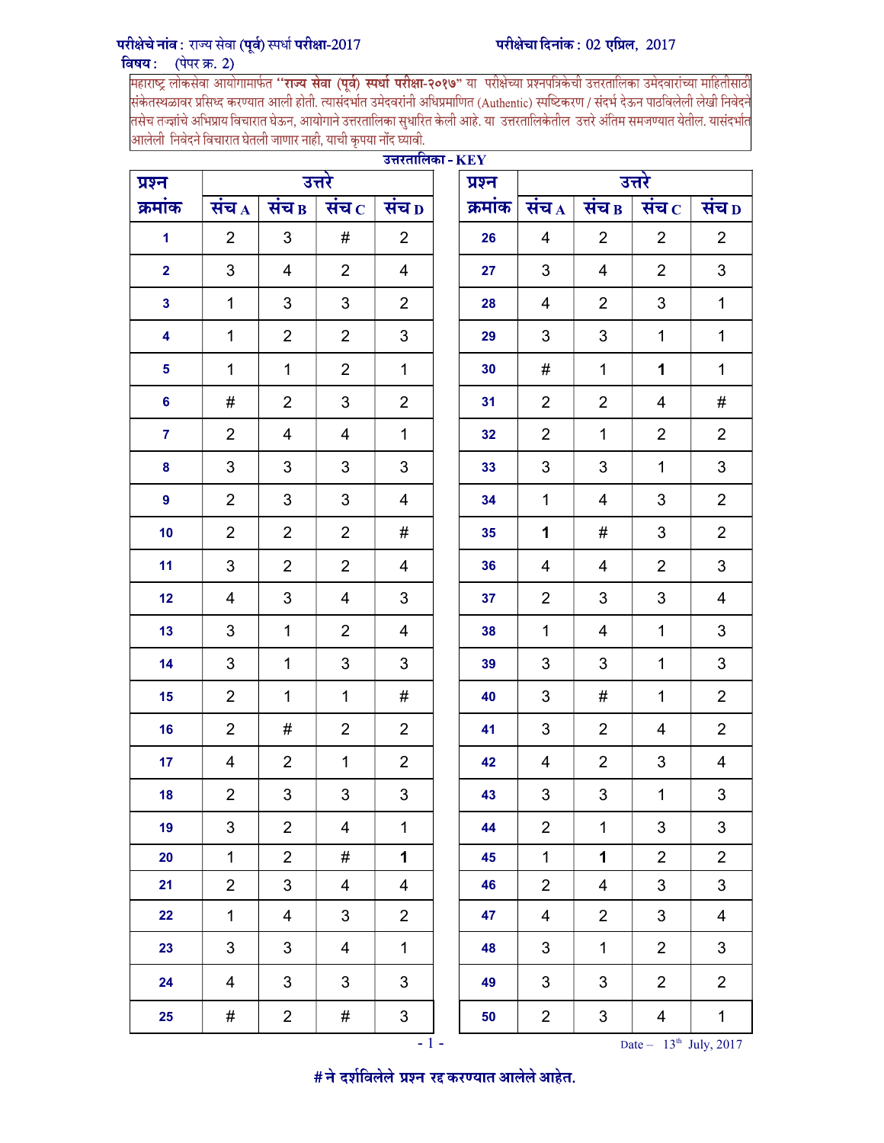## परीक्षेचे नांव : राज्य सेवा (पूर्व) स्पर्धा परीक्षा-2017

<mark>विषय : (पेपर क्र. 2)</mark><br>|महाराष्ट्र लोकसेवा आयोगामार्फत **''राज्य सेवा (पूर्व) स्पर्धा परीक्षा-२०१७"** या परीक्षेच्या प्रश्नपत्रिकेची उत्तरतालिका उमेदवारांच्या माहितीसाठी<br>|संकेतस्थळावर प्रसिध्द करण्यात आली होती. त्यासंद तसेच तज्ज्ञांचे अभिप्राय विचारात घेऊन, आयोगाने उत्तरतालिका सुधारित केली आहे. या उत्तरतालिकेतील उत्तरे अंतिम समजण्यात येतील. यासंदर्भात आलेली निवेदने विचारात घेतली जाणार नाही, याची कृपया नोंद घ्यावी.

| उत्तरतालिका - $\rm KEY$<br>उत्तर<br>उत्तरे |                         |                |                  |                          |  |         |                |                          |                            |                         |  |  |  |  |
|--------------------------------------------|-------------------------|----------------|------------------|--------------------------|--|---------|----------------|--------------------------|----------------------------|-------------------------|--|--|--|--|
| प्रश्न                                     |                         |                |                  |                          |  | प्रश्न  |                |                          |                            |                         |  |  |  |  |
| क्रमांक                                    | संच $_A$                | संच $B$        | संच $\, {\rm c}$ | सच $\bm{D}$              |  | क्रमांक | संच $_A$       | संच $B$                  | संच $\, {\rm c}$           | संच $\overline{D}$      |  |  |  |  |
| $\blacktriangleleft$                       | $\overline{2}$          | 3              | #                | $\overline{2}$           |  | 26      | 4              | $\overline{2}$           | $\overline{2}$             | $\overline{2}$          |  |  |  |  |
| $\overline{\mathbf{2}}$                    | 3                       | 4              | $\overline{2}$   | 4                        |  | 27      | 3              | 4                        | $\overline{2}$             | 3                       |  |  |  |  |
| $\mathbf{3}$                               | $\mathbf 1$             | 3              | 3                | $\overline{2}$           |  | 28      | 4              | $\overline{2}$           | 3                          | $\mathbf{1}$            |  |  |  |  |
| $\overline{\mathbf{4}}$                    | $\mathbf 1$             | $\overline{2}$ | $\overline{2}$   | 3                        |  | 29      | 3              | 3                        | $\mathbf 1$                | $\mathbf{1}$            |  |  |  |  |
| $5\phantom{a}$                             | $\mathbf{1}$            | $\mathbf{1}$   | $\overline{2}$   | $\mathbf{1}$             |  | 30      | #              | $\mathbf{1}$             | 1                          | $\mathbf{1}$            |  |  |  |  |
| 6                                          | #                       | $\overline{2}$ | 3                | $\overline{2}$           |  | 31      | $\overline{2}$ | $\overline{2}$           | 4                          | #                       |  |  |  |  |
| $\overline{7}$                             | $\overline{2}$          | 4              | 4                | $\mathbf{1}$             |  | 32      | $\overline{2}$ | $\mathbf{1}$             | $\overline{2}$             | $\overline{2}$          |  |  |  |  |
| $\pmb{8}$                                  | 3                       | 3              | $\mathfrak{B}$   | 3                        |  | 33      | $\mathfrak{S}$ | 3                        | $\mathbf{1}$               | 3                       |  |  |  |  |
| $\boldsymbol{9}$                           | $\overline{2}$          | 3              | 3                | 4                        |  | 34      | $\mathbf{1}$   | 4                        | 3                          | $\overline{2}$          |  |  |  |  |
| 10                                         | $\overline{2}$          | $\overline{2}$ | $\overline{2}$   | #                        |  | 35      | 1              | #                        | 3                          | $\overline{2}$          |  |  |  |  |
| 11                                         | 3                       | $\overline{2}$ | $\overline{2}$   | 4                        |  | 36      | 4              | 4                        | $\overline{2}$             | 3                       |  |  |  |  |
| 12                                         | 4                       | 3              | 4                | 3                        |  | 37      | 2              | 3                        | 3                          | 4                       |  |  |  |  |
| 13                                         | 3                       | $\mathbf{1}$   | $\overline{2}$   | 4                        |  | 38      | $\mathbf{1}$   | 4                        | $\mathbf 1$                | 3                       |  |  |  |  |
| 14                                         | 3                       | 1              | 3                | 3                        |  | 39      | 3              | 3                        | $\mathbf 1$                | 3                       |  |  |  |  |
| 15                                         | $\overline{2}$          | 1              | 1                | #                        |  | 40      | 3              | #                        | $\mathbf{1}$               | $\overline{2}$          |  |  |  |  |
| 16                                         | $\overline{2}$          | #              | $\overline{2}$   | $\overline{2}$           |  | 41      | 3              | $\overline{2}$           | 4                          | $\overline{2}$          |  |  |  |  |
| 17                                         | $\overline{4}$          | $\overline{2}$ | $\mathbf 1$      | $\overline{2}$           |  | 42      | 4              | $\overline{2}$           | 3                          | $\overline{4}$          |  |  |  |  |
| 18                                         | $\overline{2}$          | 3              | 3                | 3                        |  | 43      | 3              | 3                        | $\mathbf{1}$               | 3                       |  |  |  |  |
| 19                                         | 3                       | $\overline{2}$ | 4                | $\mathbf{1}$             |  | 44      | $\overline{2}$ | $\mathbf 1$              | 3                          | 3                       |  |  |  |  |
| 20                                         | $\mathbf 1$             | $\overline{2}$ | #                | 1                        |  | 45      | $\mathbf 1$    | $\mathbf 1$              | $\overline{2}$             | $\overline{2}$          |  |  |  |  |
| 21                                         | $\overline{2}$          | $\mathbf{3}$   | 4                | $\overline{\mathcal{A}}$ |  | 46      | $\overline{2}$ | $\overline{\mathcal{A}}$ | $\ensuremath{\mathsf{3}}$  | 3                       |  |  |  |  |
| 22                                         | $\mathbf{1}$            | $\overline{4}$ | 3                | $\overline{2}$           |  | 47      | 4              | $\overline{2}$           | $\mathbf{3}$               | $\overline{\mathbf{4}}$ |  |  |  |  |
| 23                                         | 3                       | 3              | 4                | $\mathbf 1$              |  | 48      | 3              | $\mathbf{1}$             | $\overline{2}$             | 3                       |  |  |  |  |
| 24                                         | $\overline{\mathbf{4}}$ | 3              | 3                | 3                        |  | 49      | 3              | 3                        | $\overline{2}$             | $\overline{2}$          |  |  |  |  |
| 25                                         | #                       | $\overline{2}$ | #                | 3                        |  | 50      | $\overline{2}$ | 3                        | $\overline{4}$             | $\mathbf{1}$            |  |  |  |  |
|                                            |                         |                |                  | $\sim 1$ –               |  |         |                |                          | Date $-13^{th}$ July, 2017 |                         |  |  |  |  |

# ने दर्शविलेले प्रश्न रद्द करण्यात आलेले आहेत.